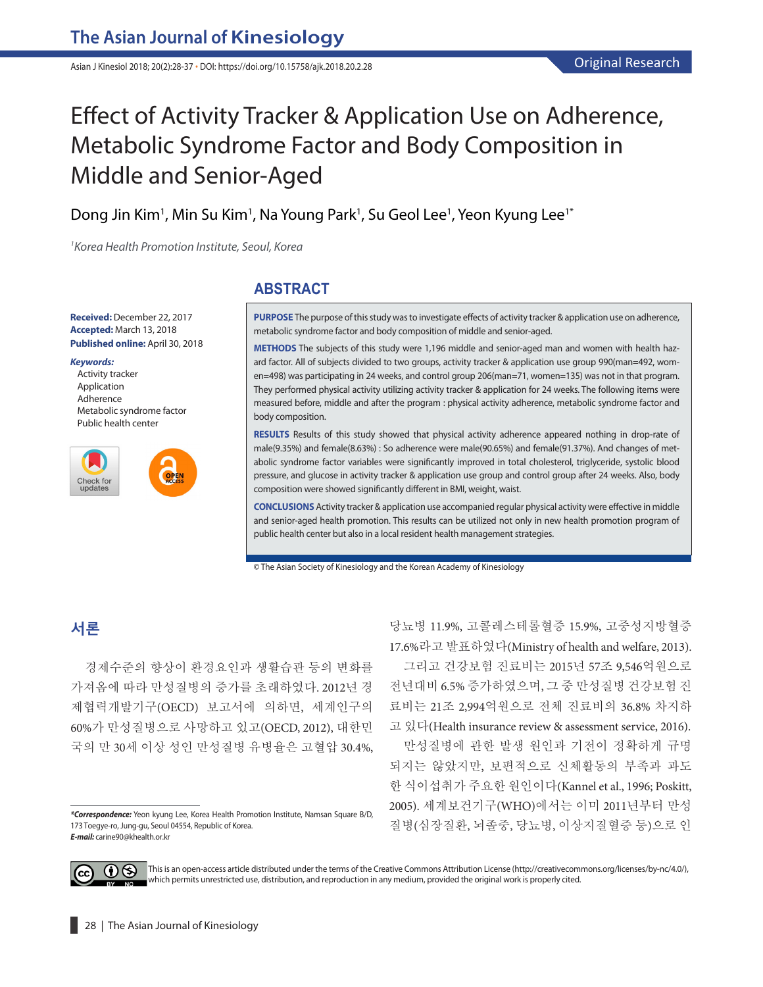Asian J Kinesiol 2018; 20(2):28-37 **·** DOI: https://doi.org/10.15758/ajk.2018.20.2.28

# Effect of Activity Tracker & Application Use on Adherence, Metabolic Syndrome Factor and Body Composition in Middle and Senior-Aged

Dong Jin Kim<sup>1</sup>, Min Su Kim<sup>1</sup>, Na Young Park<sup>1</sup>, Su Geol Lee<sup>1</sup>, Yeon Kyung Lee<sup>1\*</sup>

*1 Korea Health Promotion Institute, Seoul, Korea*

**Received:** December 22, 2017 **Accepted:** March 13, 2018 **Published online:** April 30, 2018

#### *Keywords:*

Activity tracker Application Adherence Metabolic syndrome factor Public health center

OPEN



#### **ABSTRACT**

**PURPOSE** The purpose of this study was to investigate effects of activity tracker & application use on adherence, metabolic syndrome factor and body composition of middle and senior-aged.

**METHODS** The subjects of this study were 1,196 middle and senior-aged man and women with health hazard factor. All of subjects divided to two groups, activity tracker & application use group 990(man=492, women=498) was participating in 24 weeks, and control group 206(man=71, women=135) was not in that program. They performed physical activity utilizing activity tracker & application for 24 weeks. The following items were measured before, middle and after the program : physical activity adherence, metabolic syndrome factor and body composition.

**RESULTS** Results of this study showed that physical activity adherence appeared nothing in drop-rate of male(9.35%) and female(8.63%) : So adherence were male(90.65%) and female(91.37%). And changes of metabolic syndrome factor variables were significantly improved in total cholesterol, triglyceride, systolic blood pressure, and glucose in activity tracker & application use group and control group after 24 weeks. Also, body composition were showed significantly different in BMI, weight, waist.

**CONCLUSIONS** Activity tracker & application use accompanied regular physical activity were effective in middle and senior-aged health promotion. This results can be utilized not only in new health promotion program of public health center but also in a local resident health management strategies.

© The Asian Society of Kinesiology and the Korean Academy of Kinesiology

## **서론**

경제수준의 향상이 환경요인과 생활습관 등의 변화를 가져옴에 따라 만성질병의 증가를 초래하였다. 2012년 경 제협력개발기구(OECD) 보고서에 의하면, 세계인구의 60%가 만성질병으로 사망하고 있고(OECD, 2012), 대한민 국의 만 30세 이상 성인 만성질병 유병율은 고혈압 30.4%, 당뇨병 11.9%, 고콜레스테롤혈증 15.9%, 고중성지방혈증 17.6%라고 발표하였다(Ministry of health and welfare, 2013). 그리고 건강보험 진료비는 2015년 57조 9,546억원으로 전년대비 6.5% 증가하였으며, 그 중 만성질병 건강보험 진 료비는 21조 2,994억원으로 전체 진료비의 36.8% 차지하 고 있다(Health insurance review & assessment service, 2016).

만성질병에 관한 발생 원인과 기전이 정확하게 규명 되지는 않았지만, 보편적으로 신체활동의 부족과 과도 한 식이섭취가 주요한 원인이다(Kannel et al., 1996; Poskitt, 2005). 세계보건기구(WHO)에서는 이미 2011년부터 만성 질병(심장질환, 뇌졸중, 당뇨병, 이상지질혈증 등)으로 인



This is an open-access article distributed under the terms of the Creative Commons Attribution License (http://creativecommons.org/licenses/by-nc/4.0/), which permits unrestricted use, distribution, and reproduction in any medium, provided the original work is properly cited.

*<sup>\*</sup>Correspondence:* Yeon kyung Lee, Korea Health Promotion Institute, Namsan Square B/D, 173 Toegye-ro, Jung-gu, Seoul 04554, Republic of Korea. *E-mail:* carine90@khealth.or.kr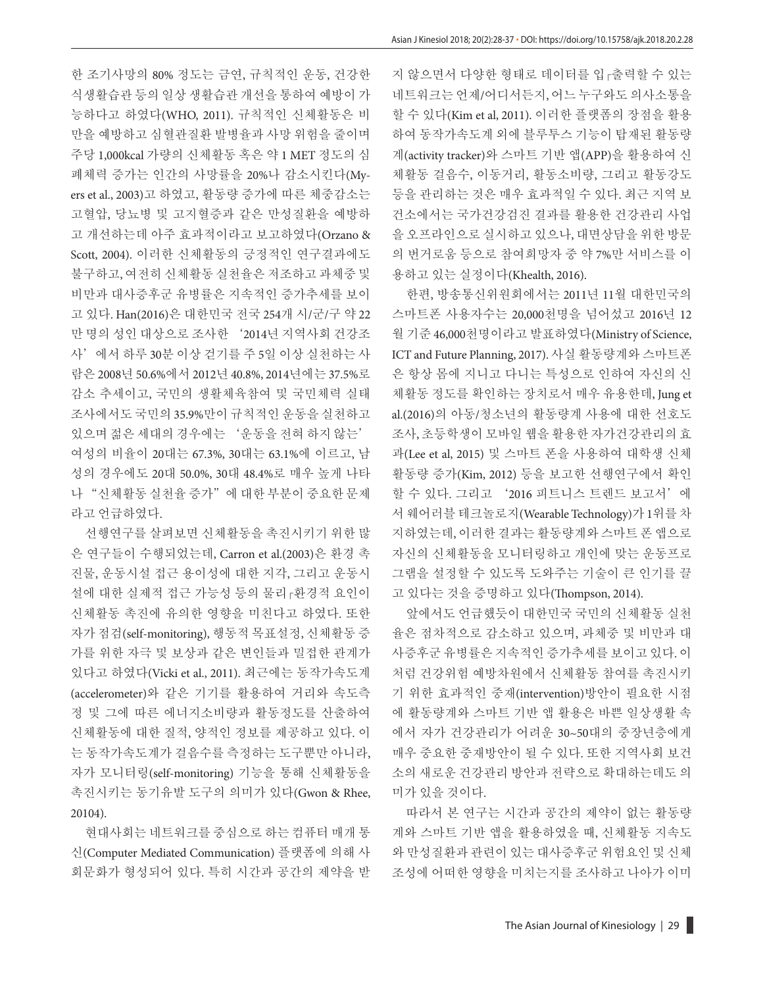한 조기사망의 80% 정도는 금연, 규칙적인 운동, 건강한 식생활습관 등의 일상 생활습관 개선을 통하여 예방이 가 능하다고 하였다(WHO, 2011). 규칙적인 신체활동은 비 만을 예방하고 심혈관질환 발병율과 사망 위험을 줄이며 주당 1,000kcal 가량의 신체활동 혹은 약 1 MET 정도의 심 폐체력 증가는 인간의 사망률을 20%나 감소시킨다(Myers et al., 2003)고 하였고, 활동량 증가에 따른 체중감소는 고혈압, 당뇨병 및 고지혈증과 같은 만성질환을 예방하 고 개선하는데 아주 효과적이라고 보고하였다(Orzano & Scott, 2004). 이러한 신체활동의 긍정적인 연구결과에도 불구하고, 여전히 신체활동 실천율은 저조하고 과체중 및 비만과 대사증후군 유병률은 지속적인 증가추세를 보이 고 있다. Han(2016)은 대한민국 전국 254개 시/군/구 약 22 만 명의 성인 대상으로 조사한 '2014년 지역사회 건강조 사'에서 하루 30분 이상 걷기를 주 5일 이상 실천하는 사 람은 2008년 50.6%에서 2012년 40.8%, 2014년에는 37.5%로 감소 추세이고, 국민의 생활체육참여 및 국민체력 실태 조사에서도 국민의 35.9%만이 규칙적인 운동을 실천하고 있으며 젊은 세대의 경우에는 '운동을 전혀 하지 않는' 여성의 비율이 20대는 67.3%, 30대는 63.1%에 이르고, 남 성의 경우에도 20대 50.0%, 30대 48.4%로 매우 높게 나타 나 "신체활동 실천율 증가"에 대한 부분이 중요한 문제 라고 언급하였다.

선행연구를 살펴보면 신체활동을 촉진시키기 위한 많 은 연구들이 수행되었는데, Carron et al.(2003)은 환경 촉 진물, 운동시설 접근 용이성에 대한 지각, 그리고 운동시 설에 대한 실제적 접근 가능성 등의 물리 관경적 요인이 신체활동 촉진에 유의한 영향을 미친다고 하였다. 또한 자가 점검(self-monitoring), 행동적 목표설정, 신체활동 증 가를 위한 자극 및 보상과 같은 변인들과 밀접한 관계가 있다고 하였다(Vicki et al., 2011). 최근에는 동작가속도계 (accelerometer)와 같은 기기를 활용하여 거리와 속도측 정 및 그에 따른 에너지소비량과 활동정도를 산출하여 신체활동에 대한 질적, 양적인 정보를 제공하고 있다. 이 는 동작가속도계가 걸음수를 측정하는 도구뿐만 아니라, 자가 모니터링(self-monitoring) 기능을 통해 신체활동을 촉진시키는 동기유발 도구의 의미가 있다(Gwon & Rhee, 20104).

현대사회는 네트워크를 중심으로 하는 컴퓨터 매개 통 신(Computer Mediated Communication) 플랫폼에 의해 사 회문화가 형성되어 있다. 특히 시간과 공간의 제약을 받 지 않으면서 다양한 형태로 데이터를 입출력할 수 있는 네트워크는 언제/어디서든지, 어느 누구와도 의사소통을 할 수 있다(Kim et al, 2011). 이러한 플랫폼의 장점을 활용 하여 동작가속도계 외에 블루투스 기능이 탑재된 활동량 계(activity tracker)와 스마트 기반 앱(APP)을 활용하여 신 체활동 걸음수, 이동거리, 활동소비량, 그리고 활동강도 등을 관리하는 것은 매우 효과적일 수 있다. 최근 지역 보 건소에서는 국가건강검진 결과를 활용한 건강관리 사업 을 오프라인으로 실시하고 있으나, 대면상담을 위한 방문 의 번거로움 등으로 참여희망자 중 약 7%만 서비스를 이 용하고 있는 실정이다(Khealth, 2016).

한편, 방송통신위원회에서는 2011년 11월 대한민국의 스마트폰 사용자수는 20,000천명을 넘어섰고 2016년 12 월 기준 46,000천명이라고 발표하였다(Ministry of Science, ICT and Future Planning, 2017). 사실 활동량계와 스마트폰 은 항상 몸에 지니고 다니는 특성으로 인하여 자신의 신 체활동 정도를 확인하는 장치로서 매우 유용한데, Jung et al.(2016)의 아동/청소년의 활동량계 사용에 대한 선호도 조사, 초등학생이 모바일 웹을 활용한 자가건강관리의 효 과(Lee et al, 2015) 및 스마트 폰을 사용하여 대학생 신체 활동량 증가(Kim, 2012) 등을 보고한 선행연구에서 확인 할 수 있다. 그리고 '2016 피트니스 트렌드 보고서'에 서 웨어러블 테크놀로지(Wearable Technology)가 1위를 차 지하였는데, 이러한 결과는 활동량계와 스마트 폰 앱으로 자신의 신체활동을 모니터링하고 개인에 맞는 운동프로 그램을 설정할 수 있도록 도와주는 기술이 큰 인기를 끌 고 있다는 것을 증명하고 있다(Thompson, 2014).

앞에서도 언급했듯이 대한민국 국민의 신체활동 실천 율은 점차적으로 감소하고 있으며, 과체중 및 비만과 대 사증후군 유병률은 지속적인 증가추세를 보이고 있다. 이 처럼 건강위험 예방차원에서 신체활동 참여를 촉진시키 기 위한 효과적인 중재(intervention)방안이 필요한 시점 에 활동량계와 스마트 기반 앱 활용은 바쁜 일상생활 속 에서 자가 건강관리가 어려운 30~50대의 중장년층에게 매우 중요한 중재방안이 될 수 있다. 또한 지역사회 보건 소의 새로운 건강관리 방안과 전략으로 확대하는데도 의 미가 있을 것이다.

따라서 본 연구는 시간과 공간의 제약이 없는 활동량 계와 스마트 기반 앱을 활용하였을 때, 신체활동 지속도 와 만성질환과 관련이 있는 대사증후군 위험요인 및 신체 조성에 어떠한 영향을 미치는지를 조사하고 나아가 이미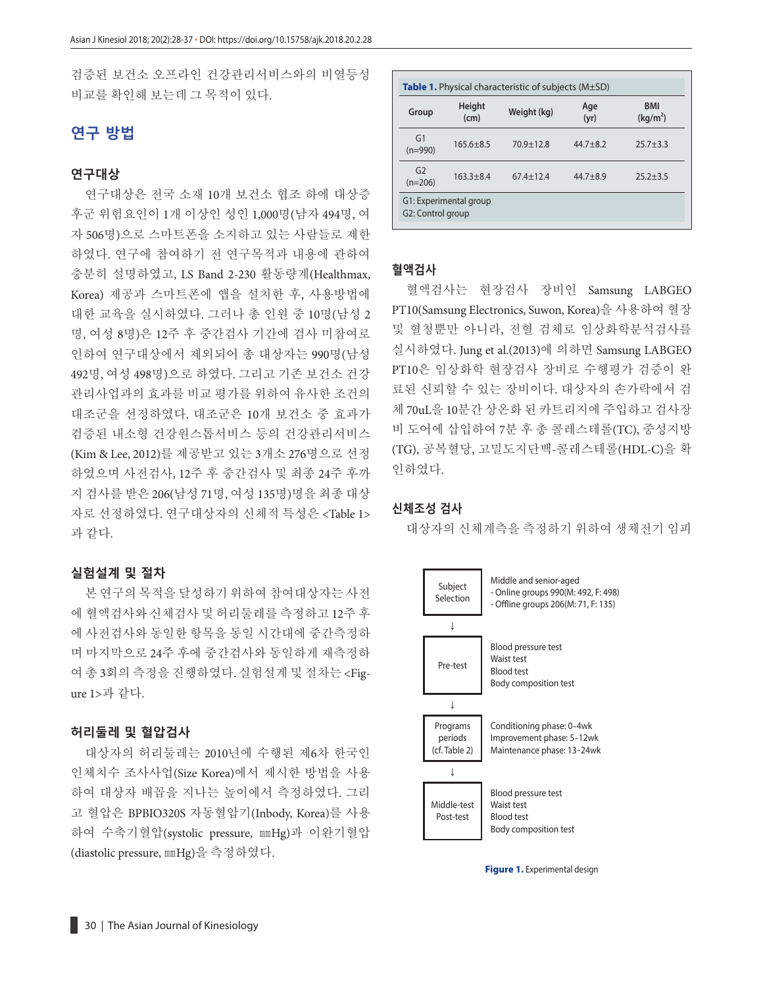검증된 보건소 오프라인 건강관리서비스와의 비열등성 비교를 확인해 보는데 그 목적이 있다.

## **연구 방법**

#### **연구대상**

연구대상은 전국 소재 10개 보건소 협조 하에 대상증 후군 위험요인이 1개 이상인 성인 1,000명(남자 494명, 여 자 506명)으로 스마트폰을 소지하고 있는 사람들로 제한 하였다. 연구에 참여하기 전 연구목적과 내용에 관하여 충분히 설명하였고, LS Band 2-230 활동량계(Healthmax, Korea) 제공과 스마트폰에 앱을 설치한 후, 사용방법에 대한 교육을 실시하였다. 그러나 총 인원 중 10명(남성 2 명, 여성 8명)은 12주 후 중간검사 기간에 검사 미참여로 인하여 연구대상에서 제외되어 총 대상자는 990명(남성 492명, 여성 498명)으로 하였다. 그리고 기존 보건소 건강 관리사업과의 효과를 비교 평가를 위하여 유사한 조건의 대조군을 선정하였다. 대조군은 10개 보건소 중 효과가 검증된 내소형 건강원스톱서비스 등의 건강관리서비스 (Kim & Lee, 2012)를 제공받고 있는 3개소 276명으로 선정 하였으며 사전검사, 12주 후 중간검사 및 최종 24주 후까 지 검사를 받은 206(남성 71명, 여성 135명)명을 최종 대상 자로 선정하였다. 연구대상자의 신체적 특성은 <Table 1> 과 같다.

#### **실험설계 및 절차**

본 연구의 목적을 달성하기 위하여 참여대상자는 사전 에 혈액검사와 신체검사 및 허리둘레를 측정하고 12주 후 에 사전검사와 동일한 항목을 동일 시간대에 중간측정하 며 마지막으로 24주 후에 중간검사와 동일하게 재측정하 여 총 3회의 측정을 진행하였다. 실험설계 및 절차는 <Figure 1>과 같다.

#### **허리둘레 및 혈압검사**

대상자의 허리둘레는 2010년에 수행된 제6차 한국인 인체치수 조사사업(Size Korea)에서 제시한 방법을 사용 하여 대상자 배꼽을 지나는 높이에서 측정하였다. 그리 고 혈압은 BPBIO320S 자동혈압기(Inbody, Korea)를 사용 하여 수축기혈압(systolic pressure, ㎜Hg)과 이완기혈압 (diastolic pressure, ㎜Hg)을 측정하였다.

| Group                       | Height<br>(cm) | Weight (kg)     | Age<br>(yr)  | <b>BMI</b><br>(kq/m <sup>2</sup> ) |
|-----------------------------|----------------|-----------------|--------------|------------------------------------|
| G1<br>$(n=990)$             | $165.6 + 8.5$  | $70.9 \pm 12.8$ | $44.7 + 8.2$ | $25.7 + 3.3$                       |
| G <sub>2</sub><br>$(n=206)$ | $163.3 + 8.4$  | $67.4 \pm 12.4$ | $44.7 + 8.9$ | $25.2 + 3.5$                       |

#### **혈액검사**

혈액검사는 현장검사 장비인 Samsung LABGEO PT10(Samsung Electronics, Suwon, Korea)을 사용하여 혈장 및 혈청뿐만 아니라, 전혈 검체로 임상화학분석검사를 실시하였다. Jung et al.(2013)에 의하면 Samsung LABGEO PT10은 임상화학 현장검사 장비로 수행평가 검증이 완 료된 신뢰할 수 있는 장비이다. 대상자의 손가락에서 검 체 70uL을 10분간 상온화 된 카트리지에 주입하고 검사장 비 도어에 삽입하여 7분 후 총 콜레스테롤(TC), 중성지방 (TG), 공복혈당, 고밀도지단백-콜레스테롤(HDL-C)을 확 인하였다.

#### **신체조성 검사**

대상자의 신체계측을 측정하기 위하여 생체전기 임피



**Figure 1.** Experimental design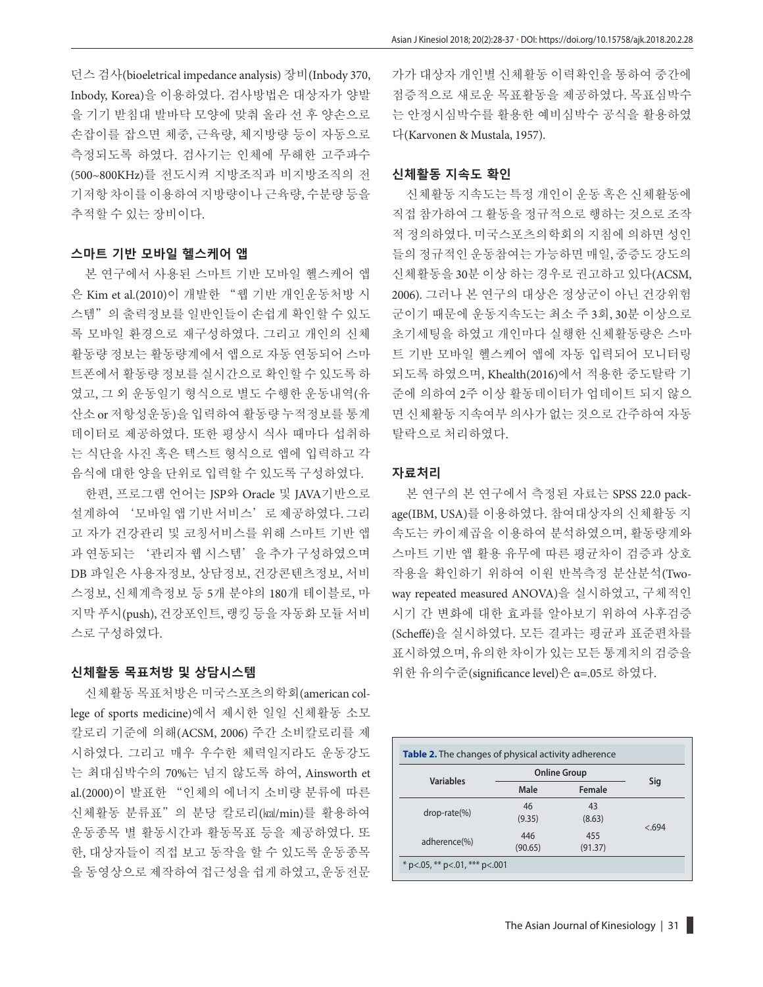던스 검사(bioeletrical impedance analysis) 장비(Inbody 370, Inbody, Korea)을 이용하였다. 검사방법은 대상자가 양발 을 기기 받침대 발바닥 모양에 맞춰 올라 선 후 양손으로 손잡이를 잡으면 체중, 근육량, 체지방량 등이 자동으로 측정되도록 하였다. 검사기는 인체에 무해한 고주파수 (500~800KHz)를 전도시켜 지방조직과 비지방조직의 전 기저항 차이를 이용하여 지방량이나 근육량, 수분량 등을 추적할 수 있는 장비이다.

#### **스마트 기반 모바일 헬스케어 앱**

본 연구에서 사용된 스마트 기반 모바일 헬스케어 앱 은 Kim et al.(2010)이 개발한 "웹 기반 개인운동처방 시 스템"의 출력정보를 일반인들이 손쉽게 확인할 수 있도 록 모바일 환경으로 재구성하였다. 그리고 개인의 신체 활동량 정보는 활동량계에서 앱으로 자동 연동되어 스마 트폰에서 활동량 정보를 실시간으로 확인할 수 있도록 하 였고, 그 외 운동일기 형식으로 별도 수행한 운동내역(유 산소 or 저항성운동)을 입력하여 활동량 누적정보를 통계 데이터로 제공하였다. 또한 평상시 식사 때마다 섭취하 는 식단을 사진 혹은 텍스트 형식으로 앱에 입력하고 각 음식에 대한 양을 단위로 입력할 수 있도록 구성하였다.

한편, 프로그램 언어는 JSP와 Oracle 및 JAVA기반으로 설계하여 '모바일 앱 기반 서비스' 로 제공하였다. 그리 고 자가 건강관리 및 코칭서비스를 위해 스마트 기반 앱 과 연동되는 '관리자 웹 시스템'을 추가 구성하였으며 DB 파일은 사용자정보, 상담정보, 건강콘텐츠정보, 서비 스정보, 신체계측정보 등 5개 분야의 180개 테이블로, 마 지막 푸시(push), 건강포인트, 랭킹 등을 자동화 모듈 서비 스로 구성하였다.

#### **신체활동 목표처방 및 상담시스템**

신체활동 목표처방은 미국스포츠의학회(american college of sports medicine)에서 제시한 일일 신체활동 소모 칼로리 기준에 의해(ACSM, 2006) 주간 소비칼로리를 제 시하였다. 그리고 매우 우수한 체력일지라도 운동강도 는 최대심박수의 70%는 넘지 않도록 하여, Ainsworth et al.(2000)이 발표한 "인체의 에너지 소비량 분류에 따른 신체활동 분류표"의 분당 칼로리(㎉/min)를 활용하여 운동종목 별 활동시간과 활동목표 등을 제공하였다. 또 한, 대상자들이 직접 보고 동작을 할 수 있도록 운동종목 을 동영상으로 제작하여 접근성을 쉽게 하였고, 운동전문

가가 대상자 개인별 신체활동 이력확인을 통하여 중간에 점증적으로 새로운 목표활동을 제공하였다. 목표심박수 는 안정시심박수를 활용한 예비심박수 공식을 활용하였 다(Karvonen & Mustala, 1957).

#### **신체활동 지속도 확인**

신체활동 지속도는 특정 개인이 운동 혹은 신체활동에 직접 참가하여 그 활동을 정규적으로 행하는 것으로 조작 적 정의하였다. 미국스포츠의학회의 지침에 의하면 성인 들의 정규적인 운동참여는 가능하면 매일, 중증도 강도의 신체활동을 30분 이상 하는 경우로 권고하고 있다(ACSM, 2006). 그러나 본 연구의 대상은 정상군이 아닌 건강위험 군이기 때문에 운동지속도는 최소 주 3회, 30분 이상으로 초기세팅을 하였고 개인마다 실행한 신체활동량은 스마 트 기반 모바일 헬스케어 앱에 자동 입력되어 모니터링 되도록 하였으며, Khealth(2016)에서 적용한 중도탈락 기 준에 의하여 2주 이상 활동데이터가 업데이트 되지 않으 면 신체활동 지속여부 의사가 없는 것으로 간주하여 자동 탈락으로 처리하였다.

#### **자료처리**

본 연구의 본 연구에서 측정된 자료는 SPSS 22.0 package(IBM, USA)를 이용하였다. 참여대상자의 신체활동 지 속도는 카이제곱을 이용하여 분석하였으며, 활동량계와 스마트 기반 앱 활용 유무에 따른 평균차이 검증과 상호 작용을 확인하기 위하여 이원 반복측정 분산분석(Twoway repeated measured ANOVA)을 실시하였고, 구체적인 시기 간 변화에 대한 효과를 알아보기 위하여 사후검증 (Scheé)을 실시하였다. 모든 결과는 평균과 표준편차를 표시하였으며, 유의한 차이가 있는 모든 통계치의 검증을 위한 유의수준(signicance level)은 α=.05로 하였다.

|                  | <b>Online Group</b> |         |       |  |
|------------------|---------------------|---------|-------|--|
| <b>Variables</b> | Male                | Female  | Sig   |  |
|                  | 46                  | 43      |       |  |
| $drop-rate(\%)$  | (9.35)              | (8.63)  |       |  |
|                  | 446                 | 455     | < 694 |  |
| adherence(%)     | (90.65)             | (91.37) |       |  |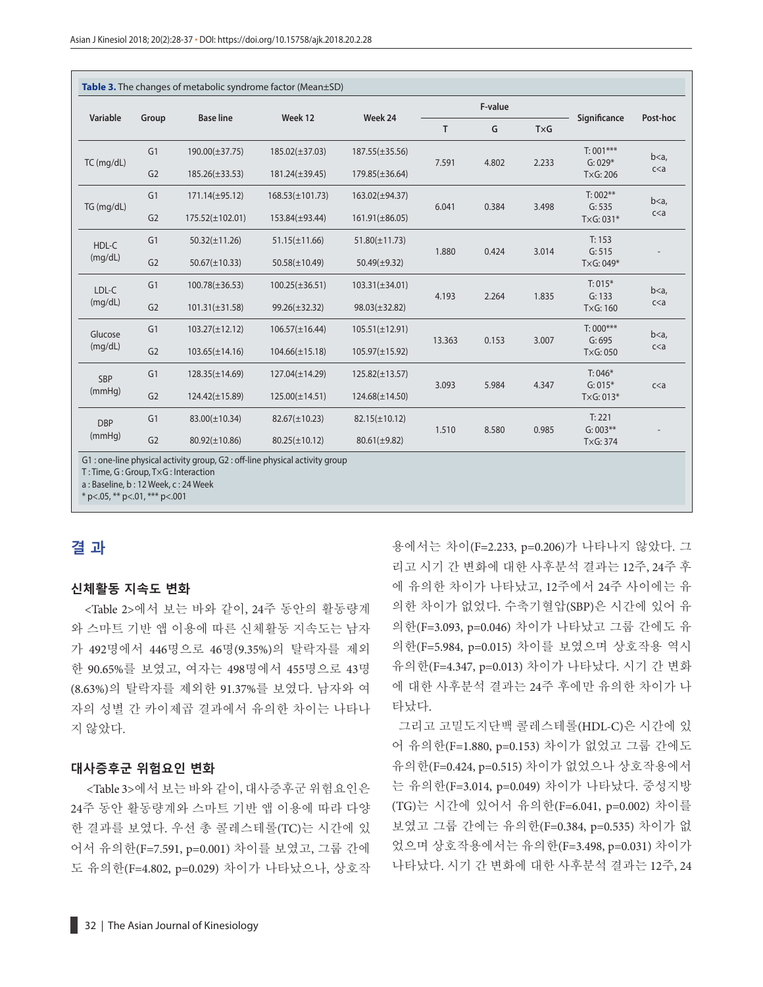| Variable             |                | <b>Base line</b>     | Week 12              | Week 24             | F-value |       |       |                          | Post-hoc                |
|----------------------|----------------|----------------------|----------------------|---------------------|---------|-------|-------|--------------------------|-------------------------|
|                      | Group          |                      |                      |                     | T       | G     | TxG   | Significance             |                         |
| TC (mg/dL)           | G1             | $190.00(\pm 37.75)$  | $185.02(\pm 37.03)$  | $187.55(\pm 35.56)$ | 7.591   | 4.802 | 2.233 | $T: 001***$<br>$G: 029*$ | b < a<br>c <sub>a</sub> |
|                      | G <sub>2</sub> | $185.26(\pm 33.53)$  | $181.24(\pm 39.45)$  | $179.85(\pm 36.64)$ |         |       |       | TxG: 206                 |                         |
| TG (mg/dL)           | G1             | $171.14(\pm 95.12)$  | $168.53(\pm 101.73)$ | 163.02(±94.37)      | 6.041   | 0.384 | 3.498 | $T: 002***$              | b < a<br>c <sub>a</sub> |
|                      | G <sub>2</sub> | $175.52(\pm 102.01)$ | 153.84(±93.44)       | $161.91(\pm 86.05)$ |         |       |       | G: 535<br>TxG: 031*      |                         |
| HDL-C<br>(mq/dL)     | G1             | $50.32(\pm 11.26)$   | $51.15(\pm 11.66)$   | $51.80(\pm 11.73)$  | 1.880   | 0.424 | 3.014 | T: 153                   |                         |
|                      | G <sub>2</sub> | $50.67(\pm 10.33)$   | $50.58(\pm 10.49)$   | $50.49(\pm 9.32)$   |         |       |       | G: 515<br>$TxG: 049*$    |                         |
| LDL-C<br>(mq/dL)     | G1             | $100.78(\pm 36.53)$  | $100.25(\pm 36.51)$  | $103.31(\pm 34.01)$ | 4.193   | 2.264 | 1.835 | $T: 015*$                | b < a<br>c <sub>a</sub> |
|                      | G <sub>2</sub> | $101.31(\pm 31.58)$  | $99.26(\pm 32.32)$   | $98.03(\pm 32.82)$  |         |       |       | G: 133<br>TxG: 160       |                         |
| Glucose<br>(mq/dL)   | G <sub>1</sub> | $103.27(\pm 12.12)$  | $106.57(\pm 16.44)$  | $105.51(\pm 12.91)$ | 13.363  | 0.153 | 3.007 | $T:000***$               | b < a<br>c <sub>a</sub> |
|                      | G <sub>2</sub> | $103.65(\pm 14.16)$  | $104.66(\pm 15.18)$  | $105.97(\pm 15.92)$ |         |       |       | G: 695<br>TxG: 050       |                         |
| <b>SBP</b><br>(mmHq) | G1             | $128.35(\pm 14.69)$  | $127.04(\pm 14.29)$  | $125.82(\pm 13.57)$ | 3.093   | 5.984 | 4.347 | $T: 046*$                | c <sub>a</sub>          |
|                      | G <sub>2</sub> | $124.42(\pm 15.89)$  | $125.00(\pm 14.51)$  | $124.68(\pm 14.50)$ |         |       |       | $G: 015*$<br>$TxG: 013*$ |                         |
| <b>DBP</b><br>(mmHq) | G1             | $83.00(\pm 10.34)$   | $82.67(\pm 10.23)$   | $82.15(\pm 10.12)$  | 1.510   |       |       | T: 221                   |                         |
|                      | G <sub>2</sub> | $80.92(\pm 10.86)$   | $80.25(\pm 10.12)$   | $80.61(\pm 9.82)$   |         |       | 8.580 | 0.985                    | $G: 003**$<br>TxG: 374  |

\* p<.05, \*\* p<.01, \*\*\* p<.001

## **결 과**

#### **신체활동 지속도 변화**

<Table 2>에서 보는 바와 같이, 24주 동안의 활동량계 와 스마트 기반 앱 이용에 따른 신체활동 지속도는 남자 가 492명에서 446명으로 46명(9.35%)의 탈락자를 제외 한 90.65%를 보였고, 여자는 498명에서 455명으로 43명 (8.63%)의 탈락자를 제외한 91.37%를 보였다. 남자와 여 자의 성별 간 카이제곱 결과에서 유의한 차이는 나타나 지 않았다.

#### **대사증후군 위험요인 변화**

<Table 3>에서 보는 바와 같이, 대사증후군 위험요인은 24주 동안 활동량계와 스마트 기반 앱 이용에 따라 다양 한 결과를 보였다. 우선 총 콜레스테롤(TC)는 시간에 있 어서 유의한(F=7.591, p=0.001) 차이를 보였고, 그룹 간에 도 유의한(F=4.802, p=0.029) 차이가 나타났으나, 상호작 용에서는 차이(F=2.233, p=0.206)가 나타나지 않았다. 그 리고 시기 간 변화에 대한 사후분석 결과는 12주, 24주 후 에 유의한 차이가 나타났고, 12주에서 24주 사이에는 유 의한 차이가 없었다. 수축기혈압(SBP)은 시간에 있어 유 의한(F=3.093, p=0.046) 차이가 나타났고 그룹 간에도 유 의한(F=5.984, p=0.015) 차이를 보였으며 상호작용 역시 유의한(F=4.347, p=0.013) 차이가 나타났다. 시기 간 변화 에 대한 사후분석 결과는 24주 후에만 유의한 차이가 나 타났다.

 그리고 고밀도지단백 콜레스테롤(HDL-C)은 시간에 있 어 유의한(F=1.880, p=0.153) 차이가 없었고 그룹 간에도 유의한(F=0.424, p=0.515) 차이가 없었으나 상호작용에서 는 유의한(F=3.014, p=0.049) 차이가 나타났다. 중성지방 (TG)는 시간에 있어서 유의한(F=6.041, p=0.002) 차이를 보였고 그룹 간에는 유의한(F=0.384, p=0.535) 차이가 없 었으며 상호작용에서는 유의한(F=3.498, p=0.031) 차이가 나타났다. 시기 간 변화에 대한 사후분석 결과는 12주, 24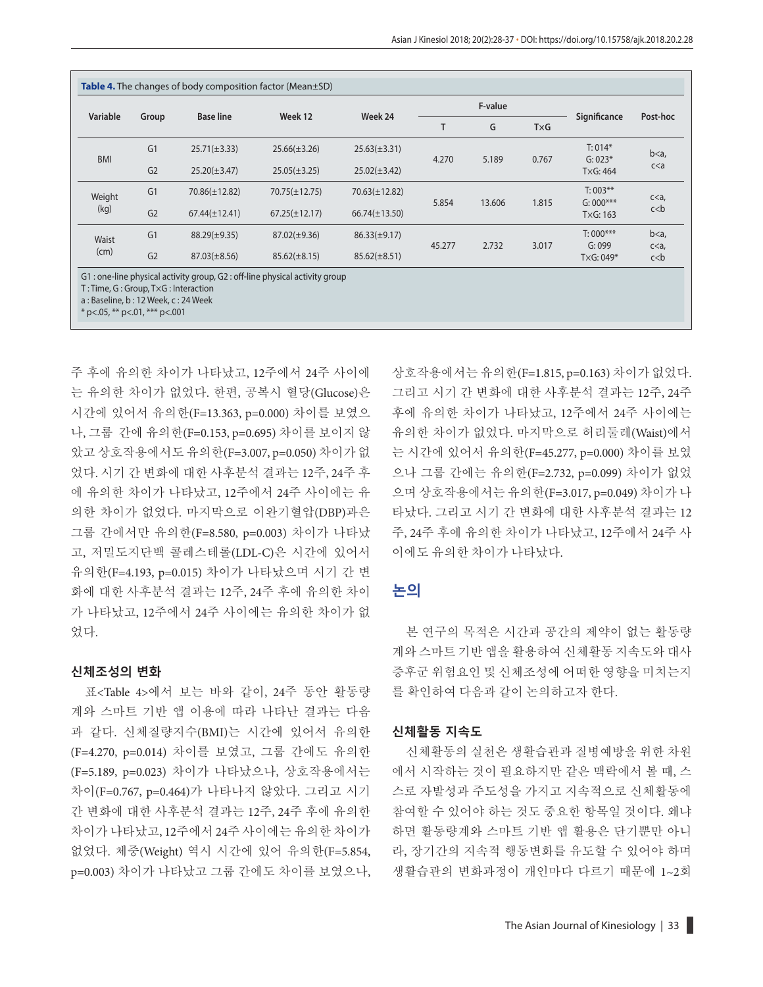|                                                                                                                   |                |                    |                                                                            |                    | F-value |        |       |                         |                             |           |
|-------------------------------------------------------------------------------------------------------------------|----------------|--------------------|----------------------------------------------------------------------------|--------------------|---------|--------|-------|-------------------------|-----------------------------|-----------|
| Variable                                                                                                          | Group          | <b>Base line</b>   | Week 12                                                                    | Week 24            | T       | G      | TxG   | Significance            | Post-hoc                    |           |
| <b>BMI</b>                                                                                                        | G <sub>1</sub> | $25.71(\pm 3.33)$  | $25.66(\pm 3.26)$                                                          | $25.63(\pm 3.31)$  | 4.270   |        | 0.767 | $T: 014*$               | $b < a$ ,<br>c <sub>a</sub> |           |
|                                                                                                                   | G <sub>2</sub> | $25.20(\pm 3.47)$  | $25.05(\pm 3.25)$                                                          | $25.02(\pm 3.42)$  |         | 5.189  |       | $G: 023*$<br>TxG: 464   |                             |           |
| Weight                                                                                                            | G <sub>1</sub> | $70.86(\pm 12.82)$ | $70.75(\pm 12.75)$                                                         | $70.63(\pm 12.82)$ |         |        |       | $T: 003***$             | c < a                       |           |
| (kg)                                                                                                              | G <sub>2</sub> | $67.44(\pm 12.41)$ | $67.25(\pm 12.17)$                                                         | $66.74(\pm 13.50)$ | 5.854   | 13.606 | 1.815 | $G: 000***$<br>TxG: 163 | c < b                       |           |
| Waist                                                                                                             | G <sub>1</sub> | $88.29(\pm 9.35)$  | $87.02(\pm 9.36)$                                                          | $86.33(\pm 9.17)$  | 45.277  |        |       |                         | $T:000***$                  | $b < a$ , |
| (cm)                                                                                                              | G <sub>2</sub> | $87.03(\pm 8.56)$  | $85.62(\pm 8.15)$                                                          | $85.62(\pm 8.51)$  |         | 2.732  | 3.017 | G: 099<br>$TxG: 049*$   | c < a<br>$c$ < b            |           |
| T: Time, G: Group, TxG: Interaction<br>a: Baseline, b: 12 Week, c: 24 Week<br>$*$ p<.05, $**$ p<.01, $***$ p<.001 |                |                    | G1: one-line physical activity group, G2: off-line physical activity group |                    |         |        |       |                         |                             |           |

주 후에 유의한 차이가 나타났고, 12주에서 24주 사이에 는 유의한 차이가 없었다. 한편, 공복시 혈당(Glucose)은 시간에 있어서 유의한(F=13.363, p=0.000) 차이를 보였으 나, 그룹 간에 유의한(F=0.153, p=0.695) 차이를 보이지 않 았고 상호작용에서도 유의한(F=3.007, p=0.050) 차이가 없 었다. 시기 간 변화에 대한 사후분석 결과는 12주, 24주 후 에 유의한 차이가 나타났고, 12주에서 24주 사이에는 유 의한 차이가 없었다. 마지막으로 이완기혈압(DBP)과은 그룹 간에서만 유의한(F=8.580, p=0.003) 차이가 나타났 고, 저밀도지단백 콜레스테롤(LDL-C)은 시간에 있어서 유의한(F=4.193, p=0.015) 차이가 나타났으며 시기 간 변 화에 대한 사후분석 결과는 12주, 24주 후에 유의한 차이 가 나타났고, 12주에서 24주 사이에는 유의한 차이가 없 었다.

#### **신체조성의 변화**

표<Table 4>에서 보는 바와 같이, 24주 동안 활동량 계와 스마트 기반 앱 이용에 따라 나타난 결과는 다음 과 같다. 신체질량지수(BMI)는 시간에 있어서 유의한 (F=4.270, p=0.014) 차이를 보였고, 그룹 간에도 유의한 (F=5.189, p=0.023) 차이가 나타났으나, 상호작용에서는 차이(F=0.767, p=0.464)가 나타나지 않았다. 그리고 시기 간 변화에 대한 사후분석 결과는 12주, 24주 후에 유의한 차이가 나타났고, 12주에서 24주 사이에는 유의한 차이가 없었다. 체중(Weight) 역시 시간에 있어 유의한(F=5.854, p=0.003) 차이가 나타났고 그룹 간에도 차이를 보였으나, 상호작용에서는 유의한(F=1.815, p=0.163) 차이가 없었다. 그리고 시기 간 변화에 대한 사후분석 결과는 12주, 24주 후에 유의한 차이가 나타났고, 12주에서 24주 사이에는 유의한 차이가 없었다. 마지막으로 허리둘레(Waist)에서 는 시간에 있어서 유의한(F=45.277, p=0.000) 차이를 보였 으나 그룹 간에는 유의한(F=2.732, p=0.099) 차이가 없었 으며 상호작용에서는 유의한(F=3.017, p=0.049) 차이가 나 타났다. 그리고 시기 간 변화에 대한 사후분석 결과는 12 주, 24주 후에 유의한 차이가 나타났고, 12주에서 24주 사 이에도 유의한 차이가 나타났다.

### **논의**

본 연구의 목적은 시간과 공간의 제약이 없는 활동량 계와 스마트 기반 앱을 활용하여 신체활동 지속도와 대사 증후군 위험요인 및 신체조성에 어떠한 영향을 미치는지 를 확인하여 다음과 같이 논의하고자 한다.

#### **신체활동 지속도**

신체활동의 실천은 생활습관과 질병예방을 위한 차원 에서 시작하는 것이 필요하지만 같은 맥락에서 볼 때, 스 스로 자발성과 주도성을 가지고 지속적으로 신체활동에 참여할 수 있어야 하는 것도 중요한 항목일 것이다. 왜냐 하면 활동량계와 스마트 기반 앱 활용은 단기뿐만 아니 라, 장기간의 지속적 행동변화를 유도할 수 있어야 하며 생활습관의 변화과정이 개인마다 다르기 때문에 1~2회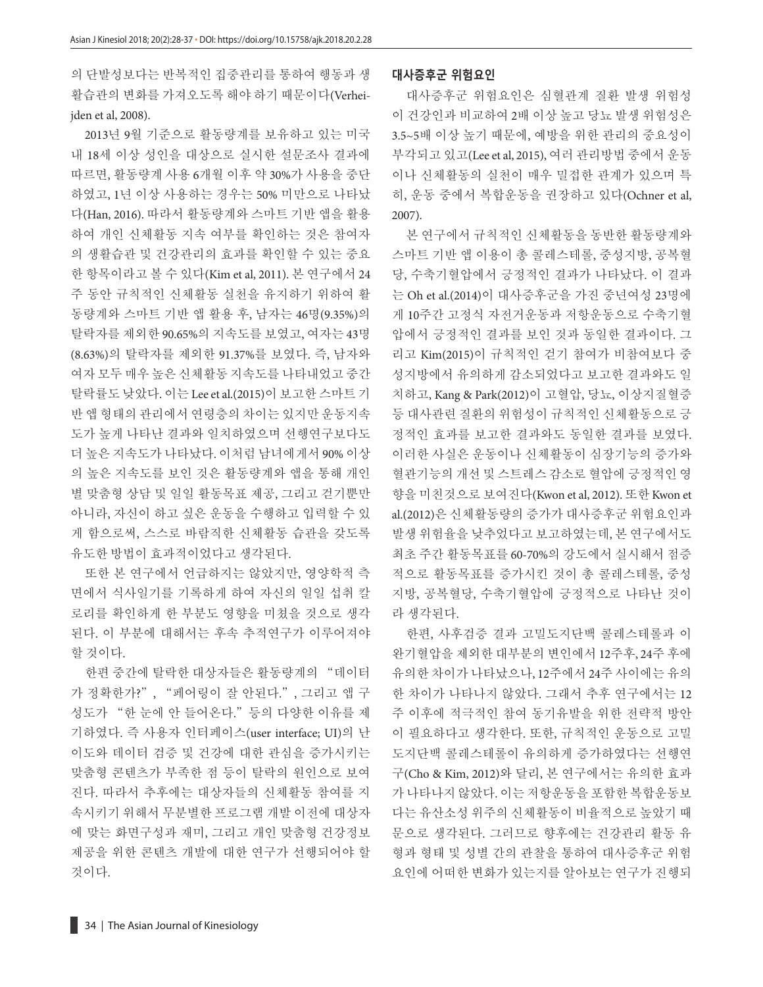의 단발성보다는 반복적인 집중관리를 통하여 행동과 생 활습관의 변화를 가져오도록 해야 하기 때문이다(Verheijden et al, 2008).

2013년 9월 기준으로 활동량계를 보유하고 있는 미국 내 18세 이상 성인을 대상으로 실시한 설문조사 결과에 따르면, 활동량계 사용 6개월 이후 약 30%가 사용을 중단 하였고, 1년 이상 사용하는 경우는 50% 미만으로 나타났 다(Han, 2016). 따라서 활동량계와 스마트 기반 앱을 활용 하여 개인 신체활동 지속 여부를 확인하는 것은 참여자 의 생활습관 및 건강관리의 효과를 확인할 수 있는 중요 한 항목이라고 볼 수 있다(Kim et al, 2011). 본 연구에서 24 주 동안 규칙적인 신체활동 실천을 유지하기 위하여 활 동량계와 스마트 기반 앱 활용 후, 남자는 46명(9.35%)의 탈락자를 제외한 90.65%의 지속도를 보였고, 여자는 43명 (8.63%)의 탈락자를 제외한 91.37%를 보였다. 즉, 남자와 여자 모두 매우 높은 신체활동 지속도를 나타내었고 중간 탈락률도 낮았다. 이는 Lee et al.(2015)이 보고한 스마트 기 반 앱 형태의 관리에서 연령층의 차이는 있지만 운동지속 도가 높게 나타난 결과와 일치하였으며 선행연구보다도 더 높은 지속도가 나타났다. 이처럼 남녀에게서 90% 이상 의 높은 지속도를 보인 것은 활동량계와 앱을 통해 개인 별 맞춤형 상담 및 일일 활동목표 제공, 그리고 걷기뿐만 아니라, 자신이 하고 싶은 운동을 수행하고 입력할 수 있 게 함으로써, 스스로 바람직한 신체활동 습관을 갖도록 유도한 방법이 효과적이었다고 생각된다.

또한 본 연구에서 언급하지는 않았지만, 영양학적 측 면에서 식사일기를 기록하게 하여 자신의 일일 섭취 칼 로리를 확인하게 한 부분도 영향을 미쳤을 것으로 생각 된다. 이 부분에 대해서는 후속 추적연구가 이루어져야 할 것이다.

한편 중간에 탈락한 대상자들은 활동량계의 "데이터 가 정확한가?", "페어링이 잘 안된다.", 그리고 앱 구 성도가 "한 눈에 안 들어온다."등의 다양한 이유를 제 기하였다. 즉 사용자 인터페이스(user interface; UI)의 난 이도와 데이터 검증 및 건강에 대한 관심을 증가시키는 맞춤형 콘텐츠가 부족한 점 등이 탈락의 원인으로 보여 진다. 따라서 추후에는 대상자들의 신체활동 참여를 지 속시키기 위해서 무분별한 프로그램 개발 이전에 대상자 에 맞는 화면구성과 재미, 그리고 개인 맞춤형 건강정보 제공을 위한 콘텐츠 개발에 대한 연구가 선행되어야 할 것이다.

#### **대사증후군 위험요인**

대사증후군 위험요인은 심혈관계 질환 발생 위험성 이 건강인과 비교하여 2배 이상 높고 당뇨 발생 위험성은 3.5~5배 이상 높기 때문에, 예방을 위한 관리의 중요성이 부각되고 있고(Lee et al, 2015), 여러 관리방법 중에서 운동 이나 신체활동의 실천이 매우 밀접한 관계가 있으며 특 히, 운동 중에서 복합운동을 권장하고 있다(Ochner et al, 2007).

본 연구에서 규칙적인 신체활동을 동반한 활동량계와 스마트 기반 앱 이용이 총 콜레스테롤, 중성지방, 공복혈 당, 수축기혈압에서 긍정적인 결과가 나타났다. 이 결과 는 Oh et al.(2014)이 대사증후군을 가진 중년여성 23명에 게 10주간 고정식 자전거운동과 저항운동으로 수축기혈 압에서 긍정적인 결과를 보인 것과 동일한 결과이다. 그 리고 Kim(2015)이 규칙적인 걷기 참여가 비참여보다 중 성지방에서 유의하게 감소되었다고 보고한 결과와도 일 치하고, Kang & Park(2012)이 고혈압, 당뇨, 이상지질혈증 등 대사관련 질환의 위험성이 규칙적인 신체활동으로 긍 정적인 효과를 보고한 결과와도 동일한 결과를 보였다. 이러한 사실은 운동이나 신체활동이 심장기능의 증가와 혈관기능의 개선 및 스트레스 감소로 혈압에 긍정적인 영 향을 미친것으로 보여진다(Kwon et al, 2012). 또한 Kwon et al.(2012)은 신체활동량의 증가가 대사증후군 위험요인과 발생 위험율을 낮추었다고 보고하였는데, 본 연구에서도 최초 주간 활동목표를 60-70%의 강도에서 실시해서 점증 적으로 활동목표를 증가시킨 것이 총 콜레스테롤, 중성 지방, 공복혈당, 수축기혈압에 긍정적으로 나타난 것이 라 생각된다.

한편, 사후검증 결과 고밀도지단백 콜레스테롤과 이 완기혈압을 제외한 대부분의 변인에서 12주후, 24주 후에 유의한 차이가 나타났으나, 12주에서 24주 사이에는 유의 한 차이가 나타나지 않았다. 그래서 추후 연구에서는 12 주 이후에 적극적인 참여 동기유발을 위한 전략적 방안 이 필요하다고 생각한다. 또한, 규칙적인 운동으로 고밀 도지단백 콜레스테롤이 유의하게 증가하였다는 선행연 구(Cho & Kim, 2012)와 달리, 본 연구에서는 유의한 효과 가 나타나지 않았다. 이는 저항운동을 포함한 복합운동보 다는 유산소성 위주의 신체활동이 비율적으로 높았기 때 문으로 생각된다. 그러므로 향후에는 건강관리 활동 유 형과 형태 및 성별 간의 관찰을 통하여 대사증후군 위험 요인에 어떠한 변화가 있는지를 알아보는 연구가 진행되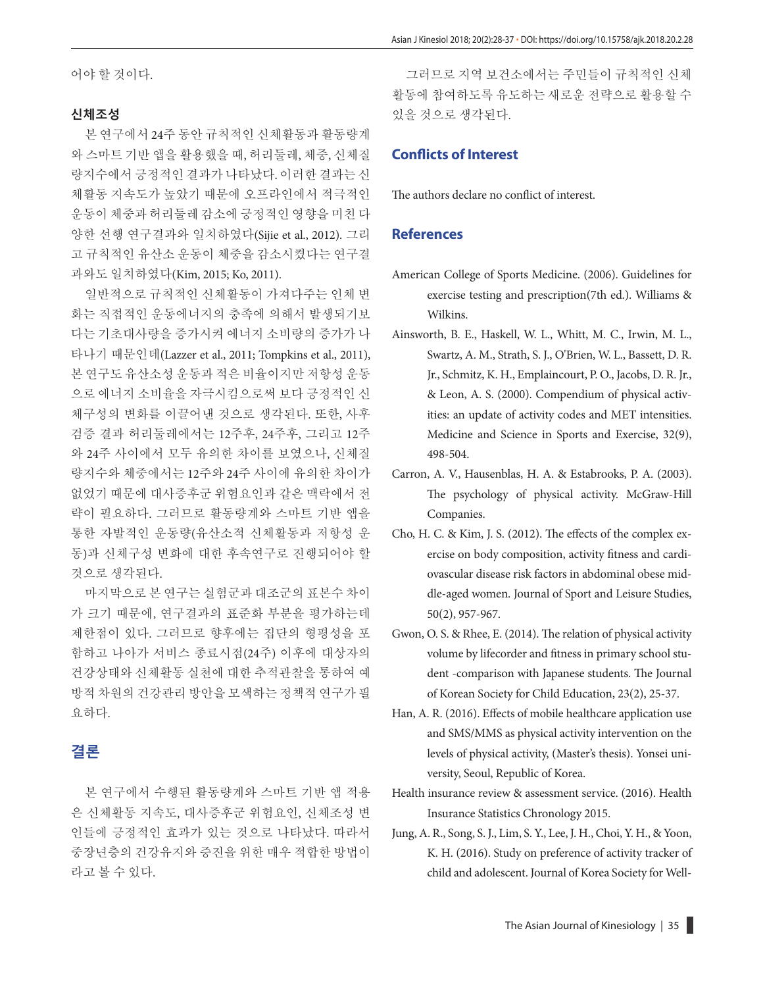어야 할 것이다.

#### **신체조성**

본 연구에서 24주 동안 규칙적인 신체활동과 활동량계 와 스마트 기반 앱을 활용했을 때, 허리둘레, 체중, 신체질 량지수에서 긍정적인 결과가 나타났다. 이러한 결과는 신 체활동 지속도가 높았기 때문에 오프라인에서 적극적인 운동이 체중과 허리둘레 감소에 긍정적인 영향을 미친 다 양한 선행 연구결과와 일치하였다(Sijie et al., 2012). 그리 고 규칙적인 유산소 운동이 체중을 감소시켰다는 연구결 과와도 일치하였다(Kim, 2015; Ko, 2011).

일반적으로 규칙적인 신체활동이 가져다주는 인체 변 화는 직접적인 운동에너지의 충족에 의해서 발생되기보 다는 기초대사량을 증가시켜 에너지 소비량의 증가가 나 타나기 때문인데(Lazzer et al., 2011; Tompkins et al., 2011), 본 연구도 유산소성 운동과 적은 비율이지만 저항성 운동 으로 에너지 소비율을 자극시킴으로써 보다 긍정적인 신 체구성의 변화를 이끌어낸 것으로 생각된다. 또한, 사후 검증 결과 허리둘레에서는 12주후, 24주후, 그리고 12주 와 24주 사이에서 모두 유의한 차이를 보였으나, 신체질 량지수와 체중에서는 12주와 24주 사이에 유의한 차이가 없었기 때문에 대사증후군 위험요인과 같은 맥락에서 전 략이 필요하다. 그러므로 활동량계와 스마트 기반 앱을 통한 자발적인 운동량(유산소적 신체활동과 저항성 운 동)과 신체구성 변화에 대한 후속연구로 진행되어야 할 것으로 생각된다.

마지막으로 본 연구는 실험군과 대조군의 표본수 차이 가 크기 때문에, 연구결과의 표준화 부분을 평가하는데 제한점이 있다. 그러므로 향후에는 집단의 형평성을 포 함하고 나아가 서비스 종료시점(24주) 이후에 대상자의 건강상태와 신체활동 실천에 대한 추적관찰을 통하여 예 방적 차원의 건강관리 방안을 모색하는 정책적 연구가 필 요하다.

## **결론**

본 연구에서 수행된 활동량계와 스마트 기반 앱 적용 은 신체활동 지속도, 대사증후군 위험요인, 신체조성 변 인들에 긍정적인 효과가 있는 것으로 나타났다. 따라서 중장년층의 건강유지와 증진을 위한 매우 적합한 방법이 라고 볼 수 있다.

그러므로 지역 보건소에서는 주민들이 규칙적인 신체 활동에 참여하도록 유도하는 새로운 전략으로 활용할 수 있을 것으로 생각된다.

### **Conflicts of Interest**

The authors declare no conflict of interest.

#### **References**

- American College of Sports Medicine. (2006). Guidelines for exercise testing and prescription(7th ed.). Williams & Wilkins.
- Ainsworth, B. E., Haskell, W. L., Whitt, M. C., Irwin, M. L., Swartz, A. M., Strath, S. J., O'Brien, W. L., Bassett, D. R. Jr., Schmitz, K. H., Emplaincourt, P. O., Jacobs, D. R. Jr., & Leon, A. S. (2000). Compendium of physical activities: an update of activity codes and MET intensities. Medicine and Science in Sports and Exercise, 32(9), 498-504.
- Carron, A. V., Hausenblas, H. A. & Estabrooks, P. A. (2003). The psychology of physical activity. McGraw-Hill Companies.
- Cho, H. C. & Kim, J. S. (2012). The effects of the complex exercise on body composition, activity fitness and cardiovascular disease risk factors in abdominal obese middle-aged women. Journal of Sport and Leisure Studies, 50(2), 957-967.
- Gwon, O. S. & Rhee, E. (2014). The relation of physical activity volume by lifecorder and fitness in primary school student -comparison with Japanese students. The Journal of Korean Society for Child Education, 23(2), 25-37.
- Han, A. R. (2016). Effects of mobile healthcare application use and SMS/MMS as physical activity intervention on the levels of physical activity, (Master's thesis). Yonsei university, Seoul, Republic of Korea.
- Health insurance review & assessment service. (2016). Health Insurance Statistics Chronology 2015.
- Jung, A. R., Song, S. J., Lim, S. Y., Lee, J. H., Choi, Y. H., & Yoon, K. H. (2016). Study on preference of activity tracker of child and adolescent. Journal of Korea Society for Well-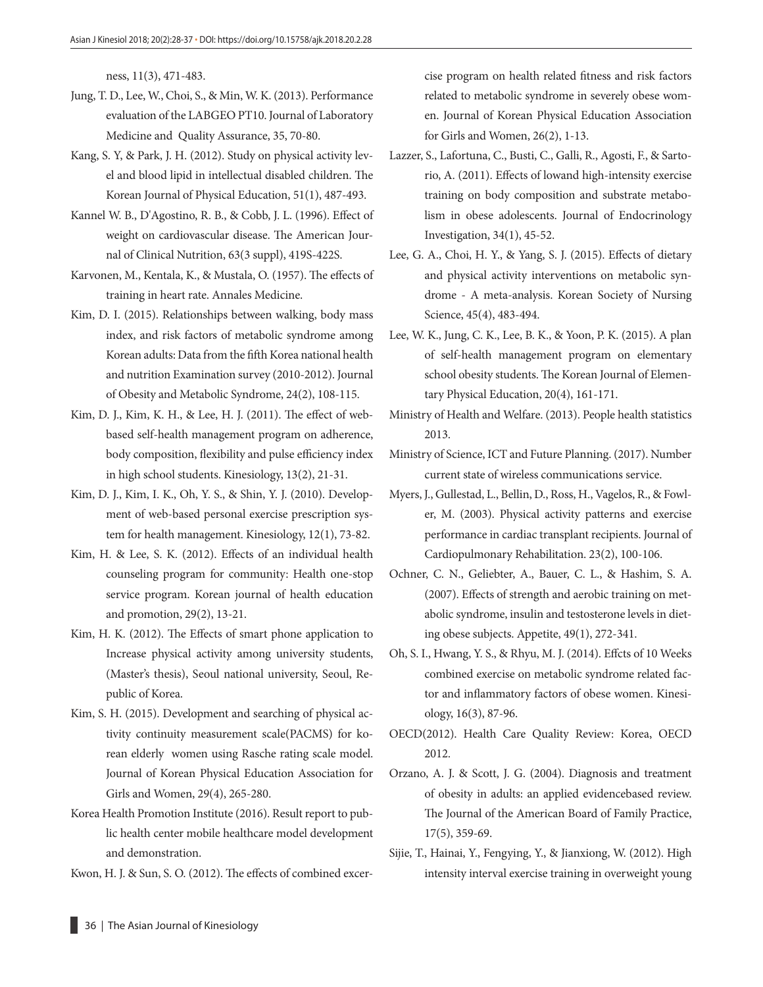ness, 11(3), 471-483.

- Jung, T. D., Lee, W., Choi, S., & Min, W. K. (2013). Performance evaluation of the LABGEO PT10. Journal of Laboratory Medicine and Quality Assurance, 35, 70-80.
- Kang, S. Y, & Park, J. H. (2012). Study on physical activity level and blood lipid in intellectual disabled children. The Korean Journal of Physical Education, 51(1), 487-493.
- Kannel W. B., D'Agostino, R. B., & Cobb, J. L. (1996). Effect of weight on cardiovascular disease. The American Journal of Clinical Nutrition, 63(3 suppl), 419S-422S.
- Karvonen, M., Kentala, K., & Mustala, O. (1957). The effects of training in heart rate. Annales Medicine.
- Kim, D. I. (2015). Relationships between walking, body mass index, and risk factors of metabolic syndrome among Korean adults: Data from the fifth Korea national health and nutrition Examination survey (2010-2012). Journal of Obesity and Metabolic Syndrome, 24(2), 108-115.
- Kim, D. J., Kim, K. H., & Lee, H. J. (2011). The effect of webbased self-health management program on adherence, body composition, flexibility and pulse efficiency index in high school students. Kinesiology, 13(2), 21-31.
- Kim, D. J., Kim, I. K., Oh, Y. S., & Shin, Y. J. (2010). Development of web-based personal exercise prescription system for health management. Kinesiology, 12(1), 73-82.
- Kim, H. & Lee, S. K. (2012). Effects of an individual health counseling program for community: Health one-stop service program. Korean journal of health education and promotion, 29(2), 13-21.
- Kim, H. K. (2012). The Effects of smart phone application to Increase physical activity among university students, (Master's thesis), Seoul national university, Seoul, Republic of Korea.
- Kim, S. H. (2015). Development and searching of physical activity continuity measurement scale(PACMS) for korean elderly women using Rasche rating scale model. Journal of Korean Physical Education Association for Girls and Women, 29(4), 265-280.
- Korea Health Promotion Institute (2016). Result report to public health center mobile healthcare model development and demonstration.
- Kwon, H. J. & Sun, S. O. (2012). The effects of combined excer-

cise program on health related fitness and risk factors related to metabolic syndrome in severely obese women. Journal of Korean Physical Education Association for Girls and Women, 26(2), 1-13.

- Lazzer, S., Lafortuna, C., Busti, C., Galli, R., Agosti, F., & Sartorio, A. (2011). Effects of lowand high-intensity exercise training on body composition and substrate metabolism in obese adolescents. Journal of Endocrinology Investigation, 34(1), 45-52.
- Lee, G. A., Choi, H. Y., & Yang, S. J. (2015). Effects of dietary and physical activity interventions on metabolic syndrome - A meta-analysis. Korean Society of Nursing Science, 45(4), 483-494.
- Lee, W. K., Jung, C. K., Lee, B. K., & Yoon, P. K. (2015). A plan of self-health management program on elementary school obesity students. The Korean Journal of Elementary Physical Education, 20(4), 161-171.
- Ministry of Health and Welfare. (2013). People health statistics 2013.
- Ministry of Science, ICT and Future Planning. (2017). Number current state of wireless communications service.
- Myers, J., Gullestad, L., Bellin, D., Ross, H., Vagelos, R., & Fowler, M. (2003). Physical activity patterns and exercise performance in cardiac transplant recipients. Journal of Cardiopulmonary Rehabilitation. 23(2), 100-106.
- Ochner, C. N., Geliebter, A., Bauer, C. L., & Hashim, S. A. (2007). Effects of strength and aerobic training on metabolic syndrome, insulin and testosterone levels in dieting obese subjects. Appetite, 49(1), 272-341.
- Oh, S. I., Hwang, Y. S., & Rhyu, M. J. (2014). Effcts of 10 Weeks combined exercise on metabolic syndrome related factor and inflammatory factors of obese women. Kinesiology, 16(3), 87-96.
- OECD(2012). Health Care Quality Review: Korea, OECD 2012.
- Orzano, A. J. & Scott, J. G. (2004). Diagnosis and treatment of obesity in adults: an applied evidencebased review. The Journal of the American Board of Family Practice, 17(5), 359-69.
- Sijie, T., Hainai, Y., Fengying, Y., & Jianxiong, W. (2012). High intensity interval exercise training in overweight young